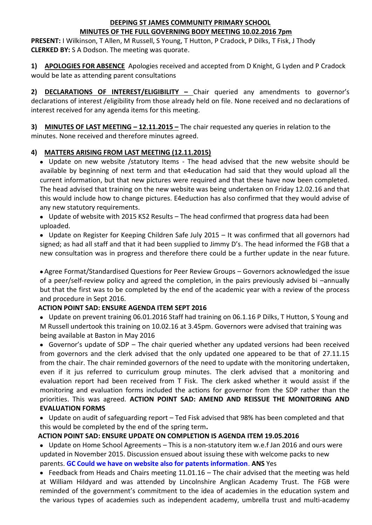## **DEEPING ST JAMES COMMUNITY PRIMARY SCHOOL MINUTES OF THE FULL GOVERNING BODY MEETING 10.02.2016 7pm**

**PRESENT:** I Wilkinson, T Allen, M Russell, S Young, T Hutton, P Cradock, P Dilks, T Fisk, J Thody **CLERKED BY:** S A Dodson. The meeting was quorate.

**1) APOLOGIES FOR ABSENCE** Apologies received and accepted from D Knight, G Lyden and P Cradock would be late as attending parent consultations

**2) DECLARATIONS OF INTEREST/ELIGIBILITY –** Chair queried any amendments to governor's declarations of interest /eligibility from those already held on file. None received and no declarations of interest received for any agenda items for this meeting.

**3) MINUTES OF LAST MEETING – 12.11.2015 –** The chair requested any queries in relation to the minutes. None received and therefore minutes agreed.

# **4) MATTERS ARISING FROM LAST MEETING (12.11.2015)**

• Update on new website /statutory Items - The head advised that the new website should be available by beginning of next term and that e4education had said that they would upload all the current information, but that new pictures were required and that these have now been completed. The head advised that training on the new website was being undertaken on Friday 12.02.16 and that this would include how to change pictures. E4eduction has also confirmed that they would advise of any new statutory requirements.

• Update of website with 2015 KS2 Results – The head confirmed that progress data had been uploaded.

• Update on Register for Keeping Children Safe July 2015 – It was confirmed that all governors had signed; as had all staff and that it had been supplied to Jimmy D's. The head informed the FGB that a new consultation was in progress and therefore there could be a further update in the near future.

• Agree Format/Standardised Questions for Peer Review Groups – Governors acknowledged the issue of a peer/self-review policy and agreed the completion, in the pairs previously advised bi –annually but that the first was to be completed by the end of the academic year with a review of the process and procedure in Sept 2016.

# **ACTION POINT SAD: ENSURE AGENDA ITEM SEPT 2016**

• Update on prevent training 06.01.2016 Staff had training on 06.1.16 P Dilks, T Hutton, S Young and M Russell undertook this training on 10.02.16 at 3.45pm. Governors were advised that training was being available at Baston in May 2016

• Governor's update of SDP – The chair queried whether any updated versions had been received from governors and the clerk advised that the only updated one appeared to be that of 27.11.15 from the chair. The chair reminded governors of the need to update with the monitoring undertaken, even if it jus referred to curriculum group minutes. The clerk advised that a monitoring and evaluation report had been received from T Fisk. The clerk asked whether it would assist if the monitoring and evaluation forms included the actions for governor from the SDP rather than the priorities. This was agreed. **ACTION POINT SAD: AMEND AND REISSUE THE MONITORING AND EVALUATION FORMS**

• Update on audit of safeguarding report – Ted Fisk advised that 98% has been completed and that this would be completed by the end of the spring term**.**

# **ACTION POINT SAD: ENSURE UPDATE ON COMPLETION IS AGENDA ITEM 19.05.2016**

• Update on Home School Agreements – This is a non-statutory item w.e.f Jan 2016 and ours were updated in November 2015. Discussion ensued about issuing these with welcome packs to new parents. **GC Could we have on website also for patents information**. **ANS** Yes

• Feedback from Heads and Chairs meeting 11.01.16 – The chair advised that the meeting was held at William Hildyard and was attended by Lincolnshire Anglican Academy Trust. The FGB were reminded of the government's commitment to the idea of academies in the education system and the various types of academies such as independent academy, umbrella trust and multi-academy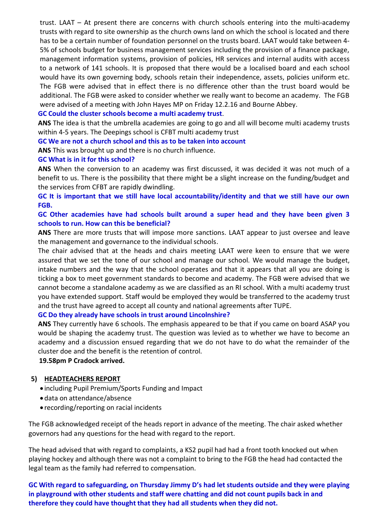trust. LAAT – At present there are concerns with church schools entering into the multi-academy trusts with regard to site ownership as the church owns land on which the school is located and there has to be a certain number of foundation personnel on the trusts board. LAAT would take between 4- 5% of schools budget for business management services including the provision of a finance package, management information systems, provision of policies, HR services and internal audits with access to a network of 141 schools. It is proposed that there would be a localised board and each school would have its own governing body, schools retain their independence, assets, policies uniform etc. The FGB were advised that in effect there is no difference other than the trust board would be additional. The FGB were asked to consider whether we really want to become an academy. The FGB were advised of a meeting with John Hayes MP on Friday 12.2.16 and Bourne Abbey.

### **GC Could the cluster schools become a multi academy trust**.

**ANS** The idea is that the umbrella academies are going to go and all will become multi academy trusts within 4-5 years. The Deepings school is CFBT multi academy trust

## **GC We are not a church school and this as to be taken into account**

**ANS** This was brought up and there is no church influence.

### **GC What is in it for this school?**

**ANS** When the conversion to an academy was first discussed, it was decided it was not much of a benefit to us. There is the possibility that there might be a slight increase on the funding/budget and the services from CFBT are rapidly dwindling.

**GC It is important that we still have local accountability/identity and that we still have our own FGB.**

## **GC Other academies have had schools built around a super head and they have been given 3 schools to run. How can this be beneficial?**

**ANS** There are more trusts that will impose more sanctions. LAAT appear to just oversee and leave the management and governance to the individual schools.

The chair advised that at the heads and chairs meeting LAAT were keen to ensure that we were assured that we set the tone of our school and manage our school. We would manage the budget, intake numbers and the way that the school operates and that it appears that all you are doing is ticking a box to meet government standards to become and academy. The FGB were advised that we cannot become a standalone academy as we are classified as an RI school. With a multi academy trust you have extended support. Staff would be employed they would be transferred to the academy trust and the trust have agreed to accept all county and national agreements after TUPE.

### **GC Do they already have schools in trust around Lincolnshire?**

**ANS** They currently have 6 schools. The emphasis appeared to be that if you came on board ASAP you would be shaping the academy trust. The question was levied as to whether we have to become an academy and a discussion ensued regarding that we do not have to do what the remainder of the cluster doe and the benefit is the retention of control.

### **19.58pm P Cradock arrived.**

# **5) HEADTEACHERS REPORT**

- including Pupil Premium/Sports Funding and Impact
- data on attendance/absence
- recording/reporting on racial incidents

The FGB acknowledged receipt of the heads report in advance of the meeting. The chair asked whether governors had any questions for the head with regard to the report.

The head advised that with regard to complaints, a KS2 pupil had had a front tooth knocked out when playing hockey and although there was not a complaint to bring to the FGB the head had contacted the legal team as the family had referred to compensation.

**GC With regard to safeguarding, on Thursday Jimmy D's had let students outside and they were playing in playground with other students and staff were chatting and did not count pupils back in and therefore they could have thought that they had all students when they did not.**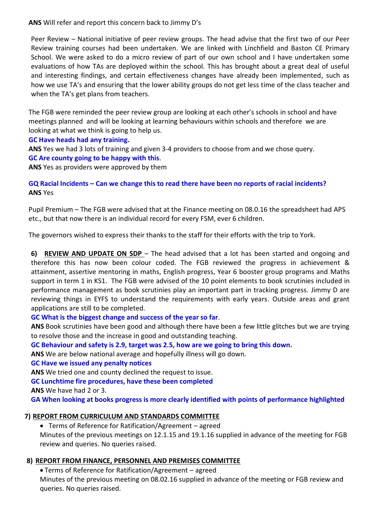**ANS** Will refer and report this concern back to Jimmy D's

Peer Review – National initiative of peer review groups. The head advise that the first two of our Peer Review training courses had been undertaken. We are linked with Linchfield and Baston CE Primary School. We were asked to do a micro review of part of our own school and I have undertaken some evaluations of how TAs are deployed within the school. This has brought about a great deal of useful and interesting findings, and certain effectiveness changes have already been implemented, such as how we use TA's and ensuring that the lower ability groups do not get less time of the class teacher and when the TA's get plans from teachers.

The FGB were reminded the peer review group are looking at each other's schools in school and have meetings planned and will be looking at learning behaviours within schools and therefore we are looking at what we think is going to help us.

## **GC Have heads had any training.**

**ANS** Yes we had 3 lots of training and given 3-4 providers to choose from and we chose query. **GC Are county going to be happy with this**.

**ANS** Yes as providers were approved by them

# **GQ Racial Incidents – Can we change this to read there have been no reports of racial incidents? ANS** Yes

Pupil Premium – The FGB were advised that at the Finance meeting on 08.0.16 the spreadsheet had APS etc., but that now there is an individual record for every FSM, ever 6 children.

The governors wished to express their thanks to the staff for their efforts with the trip to York.

**6) REVIEW AND UPDATE ON SDP** – The head advised that a lot has been started and ongoing and therefore this has now been colour coded. The FGB reviewed the progress in achievement & attainment, assertive mentoring in maths, English progress, Year 6 booster group programs and Maths support in term 1 in KS1. The FGB were advised of the 10 point elements to book scrutinies included in performance management as book scrutinies play an important part in tracking progress. Jimmy D are reviewing things in EYFS to understand the requirements with early years. Outside areas and grant applications are still to be completed.

# **GC What is the biggest change and success of the year so far**.

**ANS** Book scrutinies have been good and although there have been a few little glitches but we are trying to resolve those and the increase in good and outstanding teaching.

**GC Behaviour and safety is 2.9, target was 2.5, how are we going to bring this down.**

**ANS** We are below national average and hopefully illness will go down.

### **GC Have we issued any penalty notices**

**ANS** We tried one and county declined the request to issue.

**GC Lunchtime fire procedures, have these been completed**

**ANS** We have had 2 or 3.

**GA When looking at books progress is more clearly identified with points of performance highlighted**

# **7) REPORT FROM CURRICULUM AND STANDARDS COMMITTEE**

• Terms of Reference for Ratification/Agreement – agreed

Minutes of the previous meetings on 12.1.15 and 19.1.16 supplied in advance of the meeting for FGB review and queries. No queries raised.

# **8) REPORT FROM FINANCE, PERSONNEL AND PREMISES COMMITTEE**

• Terms of Reference for Ratification/Agreement – agreed

Minutes of the previous meeting on 08.02.16 supplied in advance of the meeting or FGB review and queries. No queries raised.